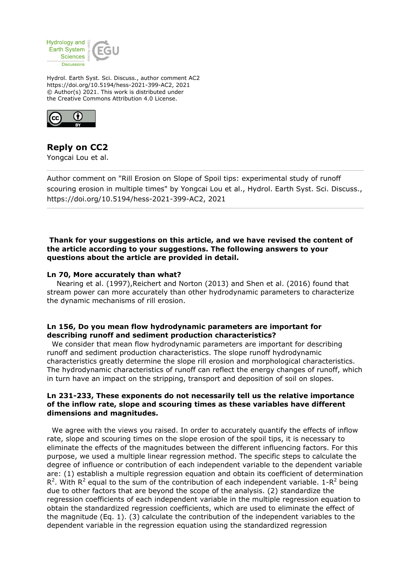

Hydrol. Earth Syst. Sci. Discuss., author comment AC2 https://doi.org/10.5194/hess-2021-399-AC2, 2021 © Author(s) 2021. This work is distributed under the Creative Commons Attribution 4.0 License.



# **Reply on CC2**

Yongcai Lou et al.

Author comment on "Rill Erosion on Slope of Spoil tips: experimental study of runoff scouring erosion in multiple times" by Yongcai Lou et al., Hydrol. Earth Syst. Sci. Discuss., https://doi.org/10.5194/hess-2021-399-AC2, 2021

### **Thank for your suggestions on this article, and we have revised the content of the article according to your suggestions. The following answers to your questions about the article are provided in detail.**

#### **Ln 70, More accurately than what?**

 Nearing et al. (1997),Reichert and Norton (2013) and Shen et al. (2016) found that stream power can more accurately than other hydrodynamic parameters to characterize the dynamic mechanisms of rill erosion.

# **Ln 156, Do you mean flow hydrodynamic parameters are important for describing runoff and sediment production characteristics?**

 We consider that mean flow hydrodynamic parameters are important for describing runoff and sediment production characteristics. The slope runoff hydrodynamic characteristics greatly determine the slope rill erosion and morphological characteristics. The hydrodynamic characteristics of runoff can reflect the energy changes of runoff, which in turn have an impact on the stripping, transport and deposition of soil on slopes.

#### **Ln 231-233, These exponents do not necessarily tell us the relative importance of the inflow rate, slope and scouring times as these variables have different dimensions and magnitudes.**

 We agree with the views you raised. In order to accurately quantify the effects of inflow rate, slope and scouring times on the slope erosion of the spoil tips, it is necessary to eliminate the effects of the magnitudes between the different influencing factors. For this purpose, we used a multiple linear regression method. The specific steps to calculate the degree of influence or contribution of each independent variable to the dependent variable are: (1) establish a multiple regression equation and obtain its coefficient of determination R<sup>2</sup>. With R<sup>2</sup> equal to the sum of the contribution of each independent variable. 1-R<sup>2</sup> being due to other factors that are beyond the scope of the analysis. (2) standardize the regression coefficients of each independent variable in the multiple regression equation to obtain the standardized regression coefficients, which are used to eliminate the effect of the magnitude (Eq. 1). (3) calculate the contribution of the independent variables to the dependent variable in the regression equation using the standardized regression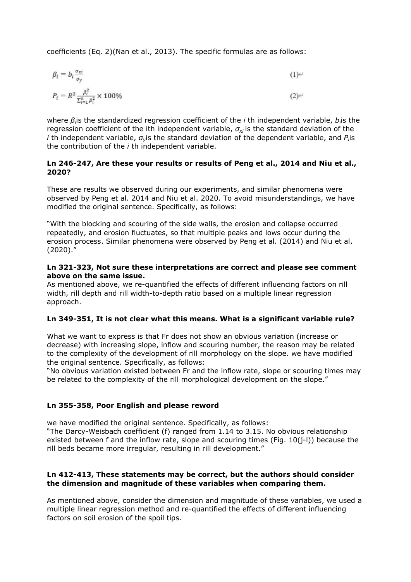coefficients (Eq. 2)(Nan et al., 2013). The specific formulas are as follows:

$$
\beta_i = b_i \frac{\sigma_{xt}}{\sigma_y} \tag{1}
$$

$$
P_t = R^2 \frac{\beta_t^2}{\sum_{i=1}^n \beta_i^2} \times 100\%
$$
 (2)

where β<sub>i</sub>is the standardized regression coefficient of the *i* th independent variable, *b<sub>i</sub>*is the regression coefficient of the ith independent variable, *σxi* is the standard deviation of the *i* th independent variable,  $\sigma_{\rm y}$ is the standard deviation of the dependent variable, and *P*<sub>i</sub>is the contribution of the *i* th independent variable.

# **Ln 246-247, Are these your results or results of Peng et al., 2014 and Niu et al., 2020?**

These are results we observed during our experiments, and similar phenomena were observed by Peng et al. 2014 and Niu et al. 2020. To avoid misunderstandings, we have modified the original sentence. Specifically, as follows:

"With the blocking and scouring of the side walls, the erosion and collapse occurred repeatedly, and erosion fluctuates, so that multiple peaks and lows occur during the erosion process. Similar phenomena were observed by Peng et al. (2014) and Niu et al. (2020)."

#### **Ln 321-323, Not sure these interpretations are correct and please see comment above on the same issue.**

As mentioned above, we re-quantified the effects of different influencing factors on rill width, rill depth and rill width-to-depth ratio based on a multiple linear regression approach.

#### **Ln 349-351, It is not clear what this means. What is a significant variable rule?**

What we want to express is that Fr does not show an obvious variation (increase or decrease) with increasing slope, inflow and scouring number, the reason may be related to the complexity of the development of rill morphology on the slope. we have modified the original sentence. Specifically, as follows:

"No obvious variation existed between Fr and the inflow rate, slope or scouring times may be related to the complexity of the rill morphological development on the slope."

# **Ln 355-358, Poor English and please reword**

we have modified the original sentence. Specifically, as follows:

"The Darcy-Weisbach coefficient (f) ranged from 1.14 to 3.15. No obvious relationship existed between f and the inflow rate, slope and scouring times (Fig.  $10(i-l)$ ) because the rill beds became more irregular, resulting in rill development."

# **Ln 412-413, These statements may be correct, but the authors should consider the dimension and magnitude of these variables when comparing them.**

As mentioned above, consider the dimension and magnitude of these variables, we used a multiple linear regression method and re-quantified the effects of different influencing factors on soil erosion of the spoil tips.